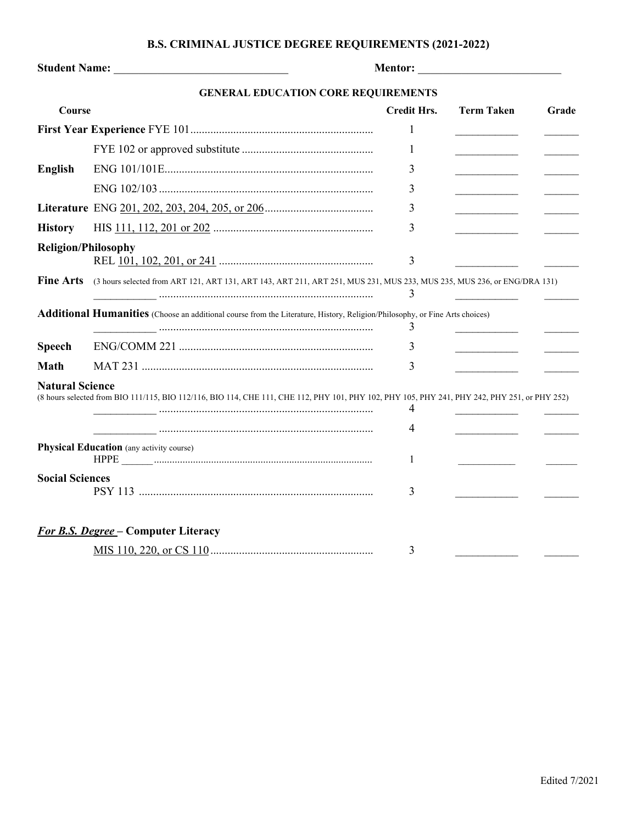## **B.S. CRIMINAL JUSTICE DEGREE REQUIREMENTS (2021-2022)**

|                                            | <b>Mentor: __________________________</b> |       |  |  |  |
|--------------------------------------------|-------------------------------------------|-------|--|--|--|
| <b>GENERAL EDUCATION CORE REQUIREMENTS</b> |                                           |       |  |  |  |
| Course                                     | Credit Hrs.<br>- Term Taken               | Grade |  |  |  |
|                                            |                                           |       |  |  |  |
|                                            |                                           |       |  |  |  |

**English** ENG 101/101E......................................................................... 3 \_\_\_\_\_\_\_\_\_\_\_ \_\_\_\_\_\_

**Literature** ENG 201, 202, 203, 204, 205, or 206...................................... 3 \_\_\_\_\_\_\_\_\_\_\_ \_\_\_\_\_\_ **History** HIS 111, 112, 201 or 202 ........................................................ 3 \_\_\_\_\_\_\_\_\_\_\_ \_\_\_\_\_\_

**Speech** ENG/COMM 221 .................................................................... 3 \_\_\_\_\_\_\_\_\_\_\_ \_\_\_\_\_\_ **Math** MAT 231 ................................................................................. 3 \_\_\_\_\_\_\_\_\_\_\_ \_\_\_\_\_\_

**Religion/Philosophy**

**Natural Science** 

**Social Sciences** 

**Physical Education** (any activity course)

*For B.S. Degree* **– Computer Literacy**

ENG 102/103........................................................................... 3 \_\_\_\_\_\_\_\_\_\_\_ \_\_\_\_\_\_

REL 101, 102, 201, or 241 ...................................................... 3 \_\_\_\_\_\_\_\_\_\_\_ \_\_\_\_\_\_

**Additional Humanities** (Choose an additional course from the Literature, History, Religion/Philosophy, or Fine Arts choices)

HPPE \_\_\_\_\_\_.................................................................................... 1 \_\_\_\_\_\_\_\_\_\_\_ \_\_\_\_\_\_

PSY 113 .................................................................................. 3 \_\_\_\_\_\_\_\_\_\_\_ \_\_\_\_\_\_

MIS 110, 220, or CS 110......................................................... 3 \_\_\_\_\_\_\_\_\_\_\_ \_\_\_\_\_\_

**Fine Arts** (3 hours selected from ART 121, ART 131, ART 143, ART 211, ART 251, MUS 231, MUS 233, MUS 235, MUS 236, or ENG/DRA 131)

(8 hours selected from BIO 111/115, BIO 112/116, BIO 114, CHE 111, CHE 112, PHY 101, PHY 102, PHY 105, PHY 241, PHY 242, PHY 251, or PHY 252)

\_\_\_\_\_\_\_\_\_\_\_ ........................................................................... 3 \_\_\_\_\_\_\_\_\_\_\_ \_\_\_\_\_\_

\_\_\_\_\_\_\_\_\_\_\_ ........................................................................... 3 \_\_\_\_\_\_\_\_\_\_\_ \_\_\_\_\_\_

\_\_\_\_\_\_\_\_\_\_\_ ........................................................................... 4 \_\_\_\_\_\_\_\_\_\_\_ \_\_\_\_\_\_ \_\_\_\_\_\_\_\_\_\_\_ ........................................................................... 4 \_\_\_\_\_\_\_\_\_\_\_ \_\_\_\_\_\_